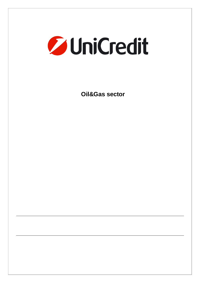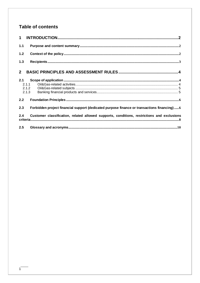# Table of contents

| 1 <sup>1</sup> |                                                                                            |
|----------------|--------------------------------------------------------------------------------------------|
| $1.1$          |                                                                                            |
| 1.2            |                                                                                            |
| $1.3$          |                                                                                            |
| $2^{\circ}$    |                                                                                            |
| 2.1            | 2.1.1<br>2.1.3                                                                             |
| 2.2            |                                                                                            |
| 2.3            | Forbidden project financial support (dedicated purpose finance or transactions financing)6 |
| 2.4            | Customer classification, related allowed supports, conditions, restrictions and exclusions |
| 2.5            |                                                                                            |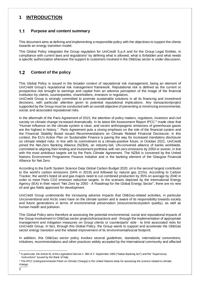# **1 INTRODUCTION**

### **Purpose and content summary**

This document aims at defining and implementing a responsible policy with the objectives to support the clients towards an energy transition model.

This Global Policy integrates the Group regulation for UniCredit S.p.A and for the Group Legal Entities, in compliance with current laws and regulations<sup>1</sup> by defining what is allowed, what is forbidden and what needs a specific authorization whenever the support to customers involved in the Oil&Gas sector is under discussion.

## **Context of the policy**

This Global Policy is issued in the broader context of reputational risk management, being an element of UniCredit Group's reputational risk management framework. Reputational risk is defined as the current or prospective risk brought to earnings and capital from an adverse perception of the image of the financial institution by clients, counterparties, shareholders, investors or regulators.

UniCredit Group is strongly committed to promote sustainable solutions in all its financing and investment decisions, with particular attention given to potential reputational implications. Any transaction/project supported by the Group must be conducted with an overall objective of preventing or minimizing environmental, social, and associated reputational risks.

In the aftermath of the Paris Agreement of 2015, the attention of policy makers, regulators, investors and civil society on climate change increased dramatically. In its latest 6th Assessment Report IPCC<sup>2</sup> made clear that "Human influence on the climate system is clear, and recent anthropogenic emissions of greenhouse gases are the highest in history.". Paris Agreement puts a strong emphasis on the role of the financial system and the Financial Stability Board issued Recommendations on Climate Related Financial Disclosure; in this context, the EU's Action Plan on Sustainable Finance is paving the way for increased mandatory disclosure on climate related risks. In line with its commitment to a climate-positive future, in October 2021, UniCredit joined the Net-Zero Banking Alliance (NZBA), an industry-led, UN-convened alliance of banks worldwide, committed to aligning their lending and investment portfolios with net-zero emissions by 2050 or sooner, in line with the most ambitious targets set by the Paris Climate Agreement. The NZBA is convened by the United Nations Environment Programme Finance Initiative and is the banking element of the Glasgow Financial Alliance for Net Zero.

According to the Earth System Science Data Global Carbon Budget 2020, oil is the second largest contributor to the world's carbon emissions (34% in 2019) and followed by natural gas (21%). According to Carbon Tracker, the world's listed oil and gas majors need to cut combined production by 35% on average by 2040 in order to meet Paris CO2 emission reduction targets. In the scenario depicted by the International Energy Agency (IEA) in their report "Net Zero by 2050 - A Roadmap for the Global Energy Sector", there are no new oil and gas fields approved for development.

UniCredit Group understands the increasing adverse impacts that Oil&Gas-related activities, in particular Unconventional and Arctic ones have on the climate system and is aware of its responsibility towards society and future generations in terms of environmental preservation (resources/ecosystem quality), as well as human health and pollution.

This Global Policy aims therefore at assessing the potential environmental, social and reputational impacts of the Group involvement in Oil&Gas sector projects/transactions and - through the implementation of appropriate management and mitigation measures on Group clients or counterparts' side - to limit associated risks for UniCredit Group. In fact, through this Global Policy, the Group wants to support and accelerate the Oil&Gas sector energy transition and the related improvement of its environmental/social footprint.

In addition, this Oil&Gas sector policy invokes several guidelines, standards, international conventions, initiatives, recommendations and other practices widely accepted by the international community and affected

2

<sup>&</sup>lt;sup>1</sup> In particular, the Article 61 of the Legislative Decree n. 385 of 1° September 1993 ("Italian Banking Act") and the "Supervisory Instructions" issued by the Bank of Italy.

<sup>&</sup>lt;sup>2</sup> The IPCC (Intergovernmental Panel on Climate Change) is the United Nations body for assessing the science related to climate change.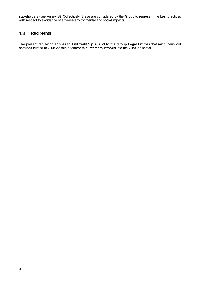stakeholders (see Annex B). Collectively, these are considered by the Group to represent the best practices with respect to avoidance of adverse environmental and social impacts.

# **Recipients**

The present regulation **applies to UniCredit S.p.A. and to the Group Legal Entities** that might carry out activities related to Oil&Gas sector and/or to **customers** involved into the Oil&Gas sector.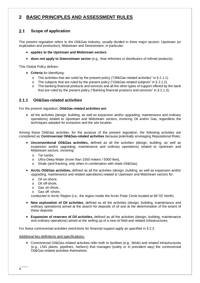# **2 BASIC PRINCIPLES AND ASSESSMENT RULES**

# **Scope of application**

The present regulation refers to the Oil&Gas Industry, usually divided in three major sectors: Upstream (or exploration and production), Midstream and Downstream; in particular:

- **applies to the Upstream and Midstream sectors**
- **does not apply to Downstream sector** (e.g., final refineries or distributors of refined products).

This Global Policy defines:

- **Criteria** for identifying:
	- o The activities that are ruled by the present policy ("Oil&Gas-related activities" in § 2.1.1).
	- o The subjects that are ruled by the present policy ("Oil&Gas-related subjects" in § 2.1.2).
	- o The banking financial products and services and all the other types of support offered by the bank that are ruled by the present policy ("Banking financial products and services" in § 2.1.3).

### **2.1.1 Oil&Gas-related activities**

For the present regulation, **Oil&Gas-related activities are**:

• all the activities (design, building, as well as expansion and/or upgrading, maintenance and ordinary operations) related to Upstream and Midstream sectors, involving Oil and/or Gas, regardless the techniques adopted for extraction and the site location.

Among these Oil&Gas activities, for the purpose of the present regulation, the following activities are considered as **Controversial Oil&Gas-related activities** because potentially envisaging Reputational Risks:

- **Unconventional Oil&Gas activities,** defined as all the activities (design, building, as well as expansion and/or upgrading, maintenance and ordinary operations) related to Upstream and Midstream sectors, involving:
	- o Tar sands,
	- o Ultra-Deep Water (more than 1500 meters / 5000 feet),
	- o Shale (and fracking, only when in combination with shale Oil&Gas).
- **Arctic Oil&Gas activities,** defined as all the activities (design, building, as well as expansion and/or upgrading, maintenance and related operations) related to Upstream and Midstream sectors for:
	- o Oil on-shore,
	- o Oil off-shore,
	- o Gas on-shore,
	- o Gas off -shore,

conducted in Arctic Region (i.e., the region inside the Arctic Polar Circle located at 66°33' North).

- **New exploration of Oil activities**, defined as all the activities (design, building, maintenance and ordinary operations) aimed at the search for deposits of oil and at the determination of the extent of these deposits.
- **Expansion of reserves of Oil activities,** defined as all the activities (design, building, maintenance and ordinary operations) aimed at the setting up of a new oil field and related infrastructures.

For these controversial activities restrictions for financial support apply as specified in § 2.3.

#### Additional key definitions and specifications:

 Controversial Oil&Gas-related activities refer both to facilities (e.g., fields) and related infrastructures (e.g., LNG plants, pipelines, harbors) that manages (solely or in prevalent way) the controversial Oil&Gas-related activities themselves.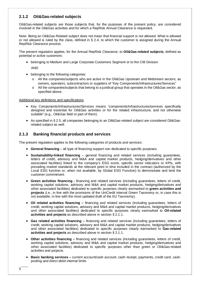## **2.1.2 Oil&Gas-related subjects**

Oil&Gas-related subjects are those subjects that, for the purposes of the present policy, are considered involved in the Oil&Gas activities and for which a RepRisk Annual Clearance is requested.

Note: Being an Oil&Gas-Related subject does not mean that financial support is not allowed. What is allowed or not allowed is ruled by the class, defined in § 2.4, to which the customer is assigned during the Annual RepRisk Clearance process.

The present regulation applies, for the Annual RepRisk Clearance, to **Oil&Gas-related subjects**, defined as potential or active customers:

- belonging to Medium and Large Corporate Customers Segment or to the CIB Division AND
- belonging to the following categories:
	- o All the companies/subjects who are active in the Oil&Gas Upstream and Midstream sectors, as owners, operators, subcontractors or suppliers of "Key Components/Infrastructures/Services"
	- o All the companies/subjects that belong to a juridical group that operates in the Oil&Gas sector, as specified above.

### Additional key definitions and specifications

- Key Components/Infrastructures/Services means "components/infrastructures/services specifically designed and essential for Oil&Gas activities or for the related infrastructure, and not otherwise suitable" (e.g., Oil&Gas field or part of them).
- As specified in § 2.5, all companies belonging to an Oil&Gas-related subject are considered Oil&Gasrelated subject as well.

### **2.1.3 Banking financial products and services**

The present regulation applies to the following categories of products and services:

- **General financing** all type of financing support non dedicated to specific purposes.
- **Sustainability-linked financing** general financing and related services (including guarantees, letters of credit, advisory and M&A and capital market products, hedging/derivatives and other associated facilities) linked to the company's ESG score, specific sector indicators or KPIs, with prevailing market standards at the relevant point in time included in the contract (authorized by the Local ESG function or, when not available, by Global ESG Function) to demonstrate and bind the customer commitment.
- **Green activities financing** financing and related services (including guarantees, letters of credit, working capital solutions, advisory and M&A and capital market products, hedging/derivatives and other associated facilities) dedicated to specific purposes clearly earmarked to **green activities and projects** (i.e., in line with the provisions of the UniCredit internal Green Taxonomy or, in case this is not available, in line with the most updated draft of the EU Taxonomy).
- **Oil related activities financing** financing and related services (including guarantees, letters of credit, working capital solutions, advisory and M&A and capital market products, hedging/derivatives and other associated facilities) dedicated to specific purposes clearly earmarked to **Oil-related activities and projects** as described above in section § 2.1.1.
- **Gas related activities financing** financing and related services (including guarantees, letters of credit, working capital solutions, advisory and M&A and capital market products, hedging/derivatives and other associated facilities) dedicated to specific purposes clearly earmarked to **Gas-related activities and projects** as described above in section § 2.1.1.
- **Other activities financing** financing and related services (including guarantees, letters of credit, working capital solutions, advisory and M&A and capital market products, hedging/derivatives and other associated facilities) dedicated to specific purposes other than green or Oil&Gas-related activities and projects.
- **Basic banking services –** current account/cash account, cash receipt, payments, credit card, cashpooling and direct debit internal limits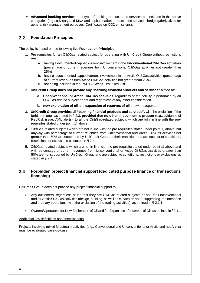**Advanced banking services –** all type of banking products and services not included in the above categories (e.g.: advisory and M&A and capital market products and services, hedging/derivatives for general risk management purposes, Certificates on CO2 emissions).

## **Foundation Principles**

The policy is based on the following five **Foundation Principles**:

- 1. Pre-requisites for an Oil&Gas-related subject for operating with UniCredit Group without restrictions are:
	- a. having a documented capped current involvement in the **Unconventional Oil&Gas activities**  (percentage of current revenues from Unconventional Oil&Gas activities not greater than 25%)
	- b. having a documented capped current involvement in the Arctic Oil&Gas activities (percentage of current revenues from Arctic Oil&Gas activities not greater than 25%)
	- c. not being included in the PACTA/Stress Test "Red List"
- 2. **UniCredit Group does not provide any "banking financial products and services"** aimed at:
	- a. **Unconventional or Arctic Oil&Gas activities**, regardless of the activity is performed by an Oil&Gas-related subject or not and regardless of any other consideration
	- b. **new exploration of oil** and **expansion of reserves of oil** to owners/operators
- 3. **UniCredit Group provides all "banking financial products and services",** with the exclusion of the forbidden ones as stated in § 2.3, **provided that no other impediment is present** (e.g., evidence of RepRisk issue, AML alerts), to all the Oil&Gas-related subjects which are fully in line with the prerequisites stated under point 1) above.
- 4. Oil&Gas-related subjects which are not in line with the pre-requisites stated under point 1) above, but anyway with percentage of current revenues from Unconventional and Arctic Oil&Gas activities not greater than 50% are supported by UniCredit Group in their transition and are subject to conditions, restrictions or exclusions as stated in § 2.4.
- 5. Oil&Gas-related subjects which are not in line with the pre-requisite stated under point 1) above and with percentage of current revenues from Unconventional or Arctic Oil&Gas activities greater than 50% are not supported by UniCredit Group and are subject to conditions, restrictions or exclusions as stated in § 2.4.

### **Forbidden project financial support (dedicated purpose finance or transactions financing)**

UniCredit Group does not provide any project financial support to:

- Any customers, regardless of the fact they are Oil&Gas-related subjects or not, for Unconventional and for Arctic Oil&Gas activities (design, building, as well as expansion and/or upgrading, maintenance and ordinary operations, with the exclusion of the trading activities), as defined in § 2.1.1
- Owners/Operators, for New Exploration of Oil and for Expansion of reserves of Oil, as defined in §2.1.1

### Additional key definitions and specifications

Projects involving mixed Midstream activities (e.g., Conventional and Unconventional or Arctic and not Arctic) must be evaluated case-by-case.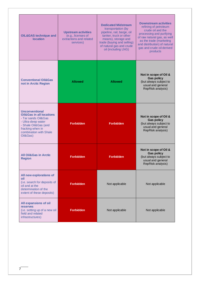| <b>OIL&amp;GAS technique and</b><br><b>location</b>                                                                                                                                         | <b>Upstream activities</b><br>(e.g., licenses of<br>extractions and related<br>services) | <b>Dedicated Midstream</b><br>transportation (by<br>pipeline, rail, barge, oil<br>tanker, truck or other<br>means), storage and<br>trade (buying and selling)<br>of natural gas and crude<br>oil (including LNG) | <b>Downstream activities</b><br>refining of petroleum<br>crude oil and the<br>processing and purifying<br>of raw natural gas, as well<br>as the trade (marketing<br>and distribution) of natural<br>gas and crude oil derived<br>products |  |  |
|---------------------------------------------------------------------------------------------------------------------------------------------------------------------------------------------|------------------------------------------------------------------------------------------|------------------------------------------------------------------------------------------------------------------------------------------------------------------------------------------------------------------|-------------------------------------------------------------------------------------------------------------------------------------------------------------------------------------------------------------------------------------------|--|--|
| <b>Conventional Oil&amp;Gas</b><br>not in Arctic Region                                                                                                                                     | <b>Allowed</b>                                                                           | <b>Allowed</b>                                                                                                                                                                                                   | Not in scope of Oil &<br><b>Gas policy</b><br>(but always subject to<br>usual and general<br>RepRisk analysis)                                                                                                                            |  |  |
| <b>Unconventional</b><br><b>Oil&amp;Gas in all locations</b><br>- Tar sands Oil&Gas<br>- Ultra-deep water<br>- Shale Oil&Gas (and<br>fracking when in<br>combination with Shale<br>Oil&Gas) | <b>Forbidden</b>                                                                         | <b>Forbidden</b>                                                                                                                                                                                                 | Not in scope of Oil &<br><b>Gas policy</b><br>(but always subject to<br>usual and general<br>RepRisk analysis)                                                                                                                            |  |  |
| <b>All Oil&amp;Gas in Arctic</b><br><b>Region</b>                                                                                                                                           | <b>Forbidden</b>                                                                         |                                                                                                                                                                                                                  | Not in scope of Oil &<br><b>Gas policy</b><br>(but always subject to<br>usual and general<br>RepRisk analysis)                                                                                                                            |  |  |
| All new explorations of<br>oil<br>(i.e. search for deposits of<br>oil and at the<br>determination of the<br>extent of these deposits)                                                       | <b>Forbidden</b>                                                                         | Not applicable                                                                                                                                                                                                   | Not applicable                                                                                                                                                                                                                            |  |  |
| All expansions of oil<br><b>reserves</b><br>(i.e. setting up of a new oil<br>field and related<br>infrastructures)                                                                          | <b>Forbidden</b>                                                                         | Not applicable                                                                                                                                                                                                   | Not applicable                                                                                                                                                                                                                            |  |  |

 $7$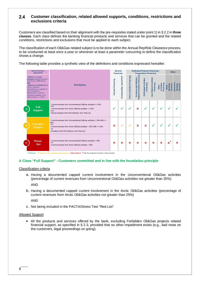### **Customer classification, related allowed supports, conditions, restrictions and exclusions criteria**

Customers are classified based on their alignment with the pre-requisites stated under point 1) in § 2.2 in **three classes**. Each class defines the banking financial products and services that can be granted and the related conditions, restrictions and exclusions that must be applied to each subject.

The classification of each Oil&Gas-related subject is to be done within the Annual RepRisk Clearance process, to be conducted at least once a year or whenever at least a parameter concurring to define the classification shows a change.

The following table provides a synthetic view of the definitions and conditions expressed hereafter.

|          | <b>Annual clearance</b><br><b>Applicability</b>                                                                                                                                                                                                                                                       |                                                                                                                                                                                                                                |                   |                           |                            | General<br><b>Financing</b>                            | <b>Dedicated Purpose Financing /</b><br><b>Transactions Financing</b> |                                     |                                         |                                            |                                 | <b>Other</b> |  |  |
|----------|-------------------------------------------------------------------------------------------------------------------------------------------------------------------------------------------------------------------------------------------------------------------------------------------------------|--------------------------------------------------------------------------------------------------------------------------------------------------------------------------------------------------------------------------------|-------------------|---------------------------|----------------------------|--------------------------------------------------------|-----------------------------------------------------------------------|-------------------------------------|-----------------------------------------|--------------------------------------------|---------------------------------|--------------|--|--|
|          | Medium and Large<br>Corporate Segment (turnover ><br>EUR 50mn) or CIB Division<br><b>AND</b><br>- Upstream and Midstream as<br>owners, operators,<br>subcontractors or suppliers of<br>"Key Components /<br>Infrastructures / Services"<br>(including companies in the<br>juridical group, i.e. >25%) | <b>Provisions</b>                                                                                                                                                                                                              | General Financing | Sustainability Linked RCF | Green Activities Financing | Related Activities Financing<br>Controversial Oil&Gas- | <b>Dil-Related Activities</b><br>Financing                            | Gas-Related Activities<br>Financing | Financing<br><b>Activities</b><br>Other | <b>Services</b><br>Banking<br><b>Basic</b> | Advanced<br>Banking<br>Services |              |  |  |
| A        | <b>Full</b><br><b>Support</b>                                                                                                                                                                                                                                                                         | Current revenues from Unconventional Oil&Gas activities <= 25%<br><b>AND</b><br>Current revenues from Arctic Oil&Gas activities <= 25%<br><b>AND</b><br>- Not be included in the PACTA/Stress Test "Red List"                  |                   | v                         | ✓                          | $\pmb{\times}$                                         | ✓                                                                     | v                                   | √                                       |                                            |                                 |              |  |  |
| B        | <b>Transition</b><br><b>Support</b>                                                                                                                                                                                                                                                                   | Current revenues from Unconventional Oil&Gas activities > 25% AND <=<br>50%<br>0 <sub>R</sub><br>Current revenues from Arctic Oil&Gas activities > 25% AND <= 50%<br><b>OR</b><br>Included in the PACTA/Stress Test "Red List" | $\mathbf x$       | ✓                         | √                          | $\pmb{\times}$                                         | $\pmb{\times}$                                                        | √                                   | √                                       |                                            |                                 |              |  |  |
| <b>C</b> | <b>Phase</b><br>Out                                                                                                                                                                                                                                                                                   | - Current revenues from Unconventional Oil&Gas activities > 50%<br>OR<br>- Current revenues from Arctic Oil&Gas activities > 50%                                                                                               | $\mathbf x$       | ×                         | $\mathbf x$                | $\mathbf x$                                            | ×                                                                     | $\mathbf x$                         | $\mathbf x$                             | $\star$<br>x                               | x                               |              |  |  |

 $\checkmark$  Allowed  $\checkmark$  Allowed, to be evaluated and approved **X Not allowed** \* with the exception of Current / Cash accounts

### **A Class "Full Support" - Customers committed and in line with the foundation principle**

### Classification criteria

a. Having a documented capped current involvement in the Unconventional Oil&Gas activities (percentage of current revenues from Unconventional Oil&Gas activities not greater than 25%)

AND

b. Having a documented capped current involvement in the Arctic Oil&Gas activities (percentage of current revenues from Arctic Oil&Gas activities not greater than 25%)

AND

c. Not being included in the PACTA/Stress Test "Red List"

### Allowed Support

 All the products and services offered by the bank, excluding Forbidden Oil&Gas projects related financial support, as specified in § 2.3, provided that no other impediment exists (e.g., bad news on the customers, legal proceedings on going).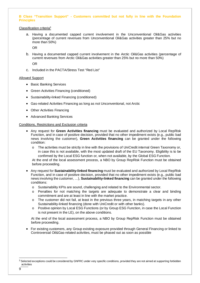### **B Class "Transition Support" - Customers committed but not fully in line with the Foundation Principles**

#### Classification criteria<sup>3</sup>

a. Having a documented capped current involvement in the Unconventional Oil&Gas activities (percentage of current revenues from Unconventional Oil&Gas activities greater than 25% but no more than 50%)

OR

b. Having a documented capped current involvement in the Arctic Oil&Gas activities (percentage of current revenues from Arctic Oil&Gas activities greater than 25% but no more than 50%)

OR

c. Included in the PACTA/Stress Test "Red List"

### Allowed Support

- Basic Banking Services
- Green Activities Financing (conditioned)
- Sustainability-linked Financing (conditioned)
- Gas-related Activities Financing as long as not Unconventional, not Arctic
- Other Activities Financing
- Advanced Banking Services

### Conditions, Restrictions and Exclusion criteria

- Any request for **Green Activities financing** must be evaluated and authorized by Local RepRisk Function, and in case of positive decision, provided that no other impediment exists (e.g., public bad news involving the customer), **Green Activities financing** can be granted under the following condition:
	- o The activities must be strictly in line with the provisions of UniCredit internal Green Taxonomy or, in case this is not available, with the most updated draft of the EU Taxonomy. Eligibility is to be confirmed by the Local ESG function or, when not available, by the Global ESG Function.

At the end of the local assessment process, a NBO by Group RepRisk Function must be obtained before proceeding.

- Any request for **Sustainability-linked financing** must be evaluated and authorized by Local RepRisk Function, and in case of positive decision, provided that no other impediment exists (e.g., public bad news involving the customer, …), **Sustainability-linked financing** can be granted under the following conditions:
	- o Sustainability KPIs are sound, challenging and related to the Environmental sector.
	- o Penalties for not matching the targets are adequate to demonstrate a clear and binding commitment and are at least in line with the market practice.
	- $\circ$  The customer did not fail, at least in the previous three years, in matching targets in any other Sustainability-linked financing (done with UniCredit or with other banks).
	- o Positive opinion by Local ESG Functions (or by Group ESG Function, in case the Local Function is not present in the LE), on the above conditions.

At the end of the local assessment process, a NBO by Group RepRisk Function must be obtained before proceeding.

 For existing customers, any Group existing exposure provided through General Financing or linked to Controversial Oil&Gas-related activities, must be phased out as soon as possible

<sup>&</sup>lt;sup>3</sup> Selected exceptions could be considered by GNFRC under very specific conditions, provided they are not aimed at supporting forbidden activities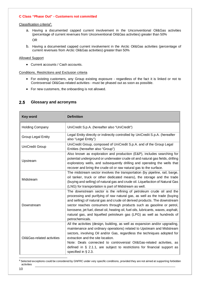#### **C Class "Phase Out" - Customers not committed**

#### Classification criteria<sup>4</sup>:

- a. Having a documented capped current involvement in the Unconventional Oil&Gas activities (percentage of current revenues from Unconventional Oil&Gas activities) greater than 50% OR
- b. Having a documented capped current involvement in the Arctic Oil&Gas activities (percentage of current revenues from Arctic Oil&Gas activities) greater than 50%

#### Allowed Support

Current accounts / Cash accounts.

#### Conditions, Restrictions and Exclusion criteria

- For existing customers, any Group existing exposure regardless of the fact it is linked or not to Controversial Oil&Gas-related activities - must be phased out as soon as possible.
- For new customers, the onboarding is not allowed.

### **Glossary and acronyms**

| <b>Key word</b>            | <b>Definition</b>                                                                                                                                                                                                                                                                                                                                                                                                                                                                           |  |  |  |
|----------------------------|---------------------------------------------------------------------------------------------------------------------------------------------------------------------------------------------------------------------------------------------------------------------------------------------------------------------------------------------------------------------------------------------------------------------------------------------------------------------------------------------|--|--|--|
| <b>Holding Company</b>     | UniCredit S.p.A. (hereafter also "UniCredit")                                                                                                                                                                                                                                                                                                                                                                                                                                               |  |  |  |
| <b>Group Legal Entity</b>  | Legal Entity directly or indirectly controlled by UniCredit S.p.A. (hereafter<br>also "Legal Entity")                                                                                                                                                                                                                                                                                                                                                                                       |  |  |  |
| <b>UniCredit Group</b>     | UniCredit Group, composed of UniCredit S.p.A. and of the Group Legal<br>Entities (hereafter also "Group")                                                                                                                                                                                                                                                                                                                                                                                   |  |  |  |
| Upstream                   | Also known as exploration and production (E&P), includes searching for<br>potential underground or underwater crude oil and natural gas fields, drilling<br>exploratory wells, and subsequently drilling and operating the wells that<br>recover and bring the crude oil or raw natural gas to the surface.                                                                                                                                                                                 |  |  |  |
| Midstream                  | The midstream sector involves the transportation (by pipeline, rail, barge,<br>oil tanker, truck or other dedicated means), the storage and the trade<br>(buying and selling) of natural gas and crude oil. Liquefaction of Natural Gas<br>(LNG) for transportation is part of Midstream as well.                                                                                                                                                                                           |  |  |  |
| Downstream                 | The downstream sector is the refining of petroleum crude oil and the<br>processing and purifying of raw natural gas, as well as the trade (buying<br>and selling) of natural gas and crude oil derived products. The downstream<br>sector reaches consumers through products such as gasoline or petrol,<br>kerosene, jet fuel, diesel oil, heating oil, fuel oils, lubricants, waxes, asphalt,<br>natural gas, and liquefied petroleum gas (LPG) as well as hundreds of<br>petrochemicals. |  |  |  |
| Oil&Gas-related activities | All the activities (design, building, as well as expansion and/or upgrading,<br>maintenance and ordinary operations) related to Upstream and Midstream<br>sectors, involving Oil and/or Gas, regardless the techniques adopted for<br>extraction and the site location.<br>Note: Deals connected to controversial Oil&Gas-related activities, as<br>defined in $\S$ 2.1.1, are subject to restrictions for financial support as<br>specified in $\S$ 2.3.                                   |  |  |  |

<sup>&</sup>lt;sup>4</sup> Selected exceptions could be considered by GNFRC under very specific conditions, provided they are not aimed at supporting forbidden activities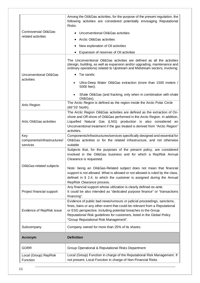|                                   | Among the Oil&Gas activities, for the purpose of the present regulation, the<br>following activities are considered potentially envisaging Reputational<br>Risks:                                                                                                                                                                         |  |  |  |  |
|-----------------------------------|-------------------------------------------------------------------------------------------------------------------------------------------------------------------------------------------------------------------------------------------------------------------------------------------------------------------------------------------|--|--|--|--|
| <b>Controversial Oil&amp;Gas-</b> | Unconventional Oil&Gas activities                                                                                                                                                                                                                                                                                                         |  |  |  |  |
| related activities                | Arctic Oil&Gas activities                                                                                                                                                                                                                                                                                                                 |  |  |  |  |
|                                   | New exploration of Oil activities                                                                                                                                                                                                                                                                                                         |  |  |  |  |
|                                   |                                                                                                                                                                                                                                                                                                                                           |  |  |  |  |
|                                   | Expansion of reserves of Oil activities                                                                                                                                                                                                                                                                                                   |  |  |  |  |
|                                   | The Unconventional Oil&Gas activities are defined as all the activities<br>(design, building, as well as expansion and/or upgrading, maintenance and<br>ordinary operations) related to Upstream and Midstream sectors, involving:                                                                                                        |  |  |  |  |
| Unconventional Oil&Gas            | • Tar sands;                                                                                                                                                                                                                                                                                                                              |  |  |  |  |
| activities                        | Ultra-Deep Water Oil&Gas extraction (more than 1500 meters /<br>$\bullet$<br>5000 feet);                                                                                                                                                                                                                                                  |  |  |  |  |
|                                   | Shale Oil&Gas (and fracking, only when in combination with shale<br>Oil&Gas).                                                                                                                                                                                                                                                             |  |  |  |  |
| Artic Region                      | The Arctic Region is defined as the region inside the Arctic Polar Circle<br>(66°33' North).                                                                                                                                                                                                                                              |  |  |  |  |
|                                   | The Arctic Region Oil&Gas activities are defined as the extraction of On-                                                                                                                                                                                                                                                                 |  |  |  |  |
|                                   | shore and Off-shore of Oil&Gas performed in the Arctic Region. In addition,                                                                                                                                                                                                                                                               |  |  |  |  |
| Artic Oil&Gas activities          | Liquefied Natural Gas (LNG) production is also considered an<br>Unconventional treatment if the gas treated is derived from "Arctic Region"                                                                                                                                                                                               |  |  |  |  |
|                                   | activities.                                                                                                                                                                                                                                                                                                                               |  |  |  |  |
| Key                               | Components/infrastructures/services specifically designed and essential for                                                                                                                                                                                                                                                               |  |  |  |  |
| components/infrastructures/       | Oil&Gas activities or for the related infrastructure, and not otherwise                                                                                                                                                                                                                                                                   |  |  |  |  |
| services                          | suitable                                                                                                                                                                                                                                                                                                                                  |  |  |  |  |
|                                   | Subjects that, for the purposes of the present policy, are considered<br>involved in the Oil&Gas business and for which a RepRisk Annual<br>Clearance is requested.                                                                                                                                                                       |  |  |  |  |
| Oil&Gas-related subjects          | Note: being an Oil&Gas-Related subject does not mean that financial                                                                                                                                                                                                                                                                       |  |  |  |  |
|                                   | support is not allowed. What is allowed or not allowed is ruled by the class,                                                                                                                                                                                                                                                             |  |  |  |  |
|                                   | defined in § 2.4, to which the customer is assigned during the Annual                                                                                                                                                                                                                                                                     |  |  |  |  |
|                                   | RepRisk Clearance process.                                                                                                                                                                                                                                                                                                                |  |  |  |  |
| Project financial support         | Any financial support whose utilization is clearly defined ex-ante.<br>It could be also intended as "dedicated purpose finance" or "transactions<br>financing".                                                                                                                                                                           |  |  |  |  |
| Evidence of RepRisk issue         | Evidence of public bad news/rumours or judicial proceedings, sanctions,<br>fines, bans or any other event that could be relevant from a Reputational<br>or ESG perspective, including potential breaches to the Group<br>Reputational Risk guidelines for customers, listed in the Global Policy<br>"Group Reputational Risk Management". |  |  |  |  |
| Subcompany                        | Company owned for more than 25% of its shares.                                                                                                                                                                                                                                                                                            |  |  |  |  |
| <b>Acronym</b>                    | <b>Definition</b>                                                                                                                                                                                                                                                                                                                         |  |  |  |  |
| <b>GORR</b>                       | Group Operational & Reputational Risks Department                                                                                                                                                                                                                                                                                         |  |  |  |  |
| Local (Group) RepRisk<br>Function | Local (Group) Function in charge of the Reputational Risk Management. If<br>not present, Local Function in charge of Non-Financial Risks                                                                                                                                                                                                  |  |  |  |  |